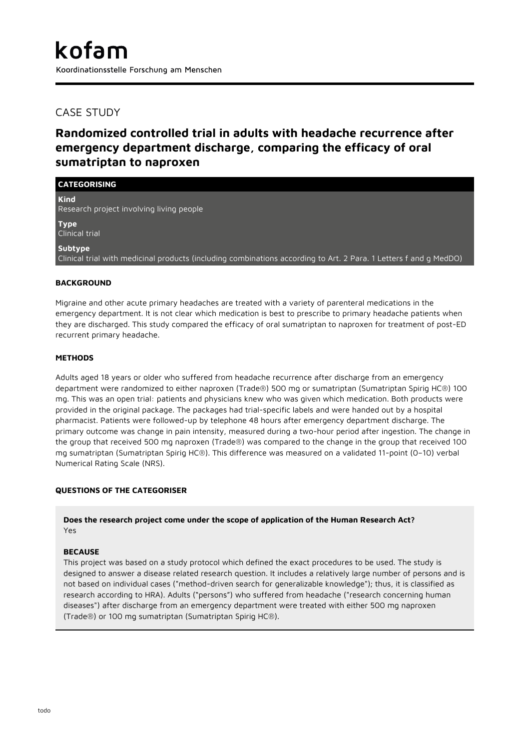## CASE STUDY

# **Randomized controlled trial in adults with headache recurrence after emergency department discharge, comparing the efficacy of oral sumatriptan to naproxen**

| <b>CATEGORISING</b>                                                                                                          |
|------------------------------------------------------------------------------------------------------------------------------|
| <b>Kind</b><br>Research project involving living people                                                                      |
| <b>Type</b><br>Clinical trial                                                                                                |
| Subtype<br>Clinical trial with medicinal products (including combinations according to Art. 2 Para. 1 Letters f and g MedDO) |

## **BACKGROUND**

Migraine and other acute primary headaches are treated with a variety of parenteral medications in the emergency department. It is not clear which medication is best to prescribe to primary headache patients when they are discharged. This study compared the efficacy of oral sumatriptan to naproxen for treatment of post-ED recurrent primary headache.

#### **METHODS**

Adults aged 18 years or older who suffered from headache recurrence after discharge from an emergency department were randomized to either naproxen (Trade®) 500 mg or sumatriptan (Sumatriptan Spirig HC®) 100 mg. This was an open trial: patients and physicians knew who was given which medication. Both products were provided in the original package. The packages had trial-specific labels and were handed out by a hospital pharmacist. Patients were followed-up by telephone 48 hours after emergency department discharge. The primary outcome was change in pain intensity, measured during a two-hour period after ingestion. The change in the group that received 500 mg naproxen (Trade®) was compared to the change in the group that received 100 mg sumatriptan (Sumatriptan Spirig HC®). This difference was measured on a validated 11-point (0–10) verbal Numerical Rating Scale (NRS).

#### **QUESTIONS OF THE CATEGORISER**

**Does the research project come under the scope of application of the Human Research Act?** Yes

#### **BECAUSE**

This project was based on a study protocol which defined the exact procedures to be used. The study is designed to answer a disease related research question. It includes a relatively large number of persons and is not based on individual cases ("method-driven search for generalizable knowledge"); thus, it is classified as research according to HRA). Adults ("persons") who suffered from headache ("research concerning human diseases") after discharge from an emergency department were treated with either 500 mg naproxen (Trade®) or 100 mg sumatriptan (Sumatriptan Spirig HC®).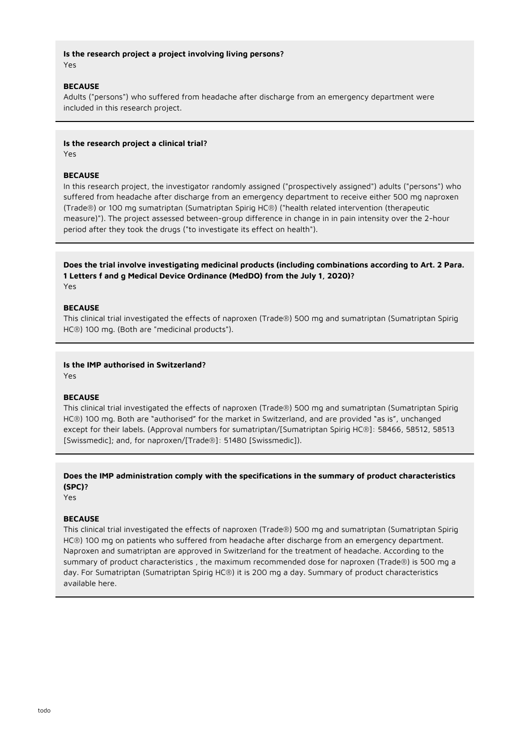#### **Is the research project a project involving living persons?** Yes

#### **BECAUSE**

Adults ("persons") who suffered from headache after discharge from an emergency department were included in this research project.

#### **Is the research project a clinical trial?**

Yes

#### **BECAUSE**

In this research project, the investigator randomly assigned ("prospectively assigned") adults ("persons") who suffered from headache after discharge from an emergency department to receive either 500 mg naproxen (Trade®) or 100 mg sumatriptan (Sumatriptan Spirig HC®) ("health related intervention (therapeutic measure)"). The project assessed between-group difference in change in in pain intensity over the 2-hour period after they took the drugs ("to investigate its effect on health").

**Does the trial involve investigating medicinal products (including combinations according to Art. 2 Para. 1 Letters f and g Medical Device Ordinance (MedDO) from the July 1, 2020)?** Yes

#### **BECAUSE**

This clinical trial investigated the effects of naproxen (Trade®) 500 mg and sumatriptan (Sumatriptan Spirig HC®) 100 mg. (Both are "medicinal products").

#### **Is the IMP authorised in Switzerland?**

Yes

#### **BECAUSE**

This clinical trial investigated the effects of naproxen (Trade®) 500 mg and sumatriptan (Sumatriptan Spirig HC®) 100 mg. Both are "authorised" for the market in Switzerland, and are provided "as is", unchanged except for their labels. (Approval numbers for sumatriptan/[Sumatriptan Spirig HC®]: 58466, 58512, 58513 [Swissmedic]; and, for naproxen/[Trade®]: 51480 [Swissmedic]).

## **Does the IMP administration comply with the specifications in the summary of product characteristics (SPC)?**

Yes

#### **BECAUSE**

This clinical trial investigated the effects of naproxen (Trade®) 500 mg and sumatriptan (Sumatriptan Spirig HC®) 100 mg on patients who suffered from headache after discharge from an emergency department. Naproxen and sumatriptan are approved in Switzerland for the treatment of headache. According to the summary of product characteristics , the maximum recommended dose for naproxen (Trade®) is 500 mg a day. For Sumatriptan (Sumatriptan Spirig HC®) it is 200 mg a day. Summary of product characteristics available here.